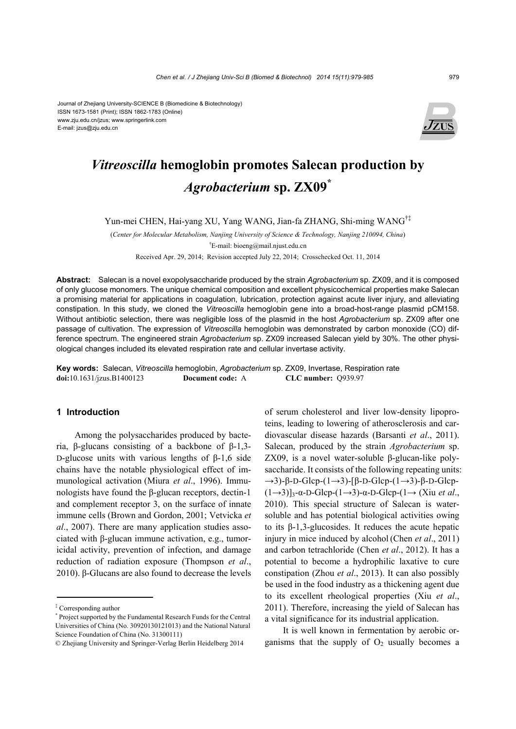

# *Vitreoscilla* **hemoglobin promotes Salecan production by**  *Agrobacterium* **sp. ZX09\***

Yun-mei CHEN, Hai-yang XU, Yang WANG, Jian-fa ZHANG, Shi-ming WANG†‡

(*Center for Molecular Metabolism, Nanjing University of Science & Technology, Nanjing 210094, China*) † E-mail: bioeng@mail.njust.edu.cn

Received Apr. 29, 2014; Revision accepted July 22, 2014; Crosschecked Oct. 11, 2014

**Abstract:** Salecan is a novel exopolysaccharide produced by the strain *Agrobacterium* sp. ZX09, and it is composed of only glucose monomers. The unique chemical composition and excellent physicochemical properties make Salecan a promising material for applications in coagulation, lubrication, protection against acute liver injury, and alleviating constipation. In this study, we cloned the *Vitreoscilla* hemoglobin gene into a broad-host-range plasmid pCM158. Without antibiotic selection, there was negligible loss of the plasmid in the host *Agrobacterium* sp. ZX09 after one passage of cultivation. The expression of *Vitreoscilla* hemoglobin was demonstrated by carbon monoxide (CO) difference spectrum. The engineered strain *Agrobacterium* sp. ZX09 increased Salecan yield by 30%. The other physiological changes included its elevated respiration rate and cellular invertase activity.

**Key words:** Salecan, *Vitreoscilla* hemoglobin, *Agrobacterium* sp. ZX09, Invertase, Respiration rate **doi:**10.1631/jzus.B1400123 **Document code:** A **CLC number:** Q939.97

## **1 Introduction**

Among the polysaccharides produced by bacteria, β-glucans consisting of a backbone of β-1,3- D-glucose units with various lengths of  $β-1,6$  side chains have the notable physiological effect of immunological activation (Miura *et al*., 1996). Immunologists have found the β-glucan receptors, dectin-1 and complement receptor 3, on the surface of innate immune cells (Brown and Gordon, 2001; Vetvicka *et al*., 2007). There are many application studies associated with β-glucan immune activation, e.g., tumoricidal activity, prevention of infection, and damage reduction of radiation exposure (Thompson *et al*., 2010). β-Glucans are also found to decrease the levels

of serum cholesterol and liver low-density lipoproteins, leading to lowering of atherosclerosis and cardiovascular disease hazards (Barsanti *et al*., 2011). Salecan, produced by the strain *Agrobacterium* sp. ZX09, is a novel water-soluble β-glucan-like polysaccharide. It consists of the following repeating units:  $\rightarrow$ 3)-β-D-Glcp-(1→3)-[β-D-Glcp-(1→3)-β-D-Glcp-(1→3)]3-α-D-Glcp-(1→3)-α-D-Glcp-(1→ (Xiu *et al*., 2010). This special structure of Salecan is watersoluble and has potential biological activities owing to its β-1,3-glucosides. It reduces the acute hepatic injury in mice induced by alcohol (Chen *et al*., 2011) and carbon tetrachloride (Chen *et al*., 2012). It has a potential to become a hydrophilic laxative to cure constipation (Zhou *et al*., 2013). It can also possibly be used in the food industry as a thickening agent due to its excellent rheological properties (Xiu *et al*., 2011). Therefore, increasing the yield of Salecan has a vital significance for its industrial application.

It is well known in fermentation by aerobic organisms that the supply of  $O<sub>2</sub>$  usually becomes a

<sup>‡</sup> Corresponding author

<sup>\*</sup> Project supported by the Fundamental Research Funds for the Central Universities of China (No. 30920130121013) and the National Natural Science Foundation of China (No. 31300111)

<sup>©</sup> Zhejiang University and Springer-Verlag Berlin Heidelberg 2014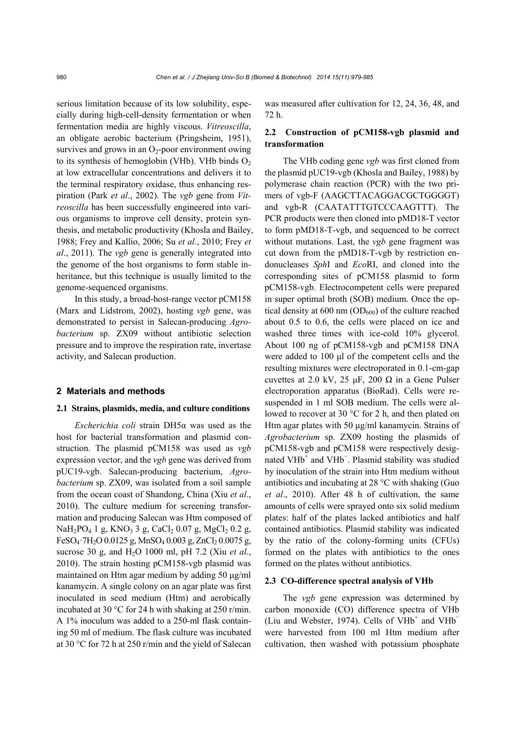serious limitation because of its low solubility, especially during high-cell-density fermentation or when fermentation media are highly viscous. *Vitreoscilla*, an obligate aerobic bacterium (Pringsheim, 1951), survives and grows in an  $O_2$ -poor environment owing to its synthesis of hemoglobin (VHb). VHb binds  $O<sub>2</sub>$ at low extracellular concentrations and delivers it to the terminal respiratory oxidase, thus enhancing respiration (Park *et al*., 2002). The *vgb* gene from *Vitreoscilla* has been successfully engineered into various organisms to improve cell density, protein synthesis, and metabolic productivity (Khosla and Bailey, 1988; Frey and Kallio, 2006; Su *et al.*, 2010; Frey *et al*., 2011). The *vgb* gene is generally integrated into the genome of the host organisms to form stable inheritance, but this technique is usually limited to the genome-sequenced organisms.

In this study, a broad-host-range vector pCM158 (Marx and Lidstrom, 2002), hosting *vgb* gene, was demonstrated to persist in Salecan-producing *Agrobacterium* sp. ZX09 without antibiotic selection pressure and to improve the respiration rate, invertase activity, and Salecan production.

## **2 Materials and methods**

### **2.1 Strains, plasmids, media, and culture conditions**

*Escherichia coli* strain DH5α was used as the host for bacterial transformation and plasmid construction. The plasmid pCM158 was used as *vgb* expression vector, and the *vgb* gene was derived from pUC19-vgb. Salecan-producing bacterium, *Agrobacterium* sp. ZX09, was isolated from a soil sample from the ocean coast of Shandong, China (Xiu *et al*., 2010). The culture medium for screening transformation and producing Salecan was Htm composed of  $NaH<sub>2</sub>PO<sub>4</sub> 1 g, KNO<sub>3</sub> 3 g, CaCl<sub>2</sub> 0.07 g, MgCl<sub>2</sub> 0.2 g,$ FeSO<sub>4</sub>·7H<sub>2</sub>O 0.0125 g, MnSO<sub>4</sub> 0.003 g, ZnCl<sub>2</sub> 0.0075 g, sucrose 30 g, and H2O 1000 ml, pH 7.2 (Xiu *et al*., 2010). The strain hosting pCM158-vgb plasmid was maintained on Htm agar medium by adding 50 μg/ml kanamycin. A single colony on an agar plate was first inoculated in seed medium (Htm) and aerobically incubated at 30 °C for 24 h with shaking at 250 r/min. A 1% inoculum was added to a 250-ml flask containing 50 ml of medium. The flask culture was incubated at 30 °C for 72 h at 250 r/min and the yield of Salecan

was measured after cultivation for 12, 24, 36, 48, and 72 h.

## **2.2 Construction of pCM158-vgb plasmid and transformation**

The VHb coding gene *vgb* was first cloned from the plasmid pUC19-vgb (Khosla and Bailey, 1988) by polymerase chain reaction (PCR) with the two primers of vgb-F (AAGCTTACAGGACGCTGGGGT) and vgb-R (CAATATTTGTCCCAAGTTT). The PCR products were then cloned into pMD18-T vector to form pMD18-T-vgb, and sequenced to be correct without mutations. Last, the *vgb* gene fragment was cut down from the pMD18-T-vgb by restriction endonucleases *Sph*I and *Eco*RI, and cloned into the corresponding sites of pCM158 plasmid to form pCM158-vgb. Electrocompetent cells were prepared in super optimal broth (SOB) medium. Once the optical density at 600 nm  $OD_{600}$  of the culture reached about 0.5 to 0.6, the cells were placed on ice and washed three times with ice-cold 10% glycerol. About 100 ng of pCM158-vgb and pCM158 DNA were added to 100 μl of the competent cells and the resulting mixtures were electroporated in 0.1-cm-gap cuvettes at 2.0 kV, 25 μF, 200 Ω in a Gene Pulser electroporation apparatus (BioRad). Cells were resuspended in 1 ml SOB medium. The cells were allowed to recover at 30 °C for 2 h, and then plated on Htm agar plates with 50 μg/ml kanamycin. Strains of *Agrobacterium* sp. ZX09 hosting the plasmids of pCM158-vgb and pCM158 were respectively designated VHb<sup>+</sup> and VHb<sup>-</sup>. Plasmid stability was studied by inoculation of the strain into Htm medium without antibiotics and incubating at 28 °C with shaking (Guo *et al*., 2010). After 48 h of cultivation, the same amounts of cells were sprayed onto six solid medium plates: half of the plates lacked antibiotics and half contained antibiotics. Plasmid stability was indicated by the ratio of the colony-forming units (CFUs) formed on the plates with antibiotics to the ones formed on the plates without antibiotics.

## **2.3 CO-difference spectral analysis of VHb**

The *vgb* gene expression was determined by carbon monoxide (CO) difference spectra of VHb (Liu and Webster, 1974). Cells of  $VHb<sup>+</sup>$  and  $VHb$ were harvested from 100 ml Htm medium after cultivation, then washed with potassium phosphate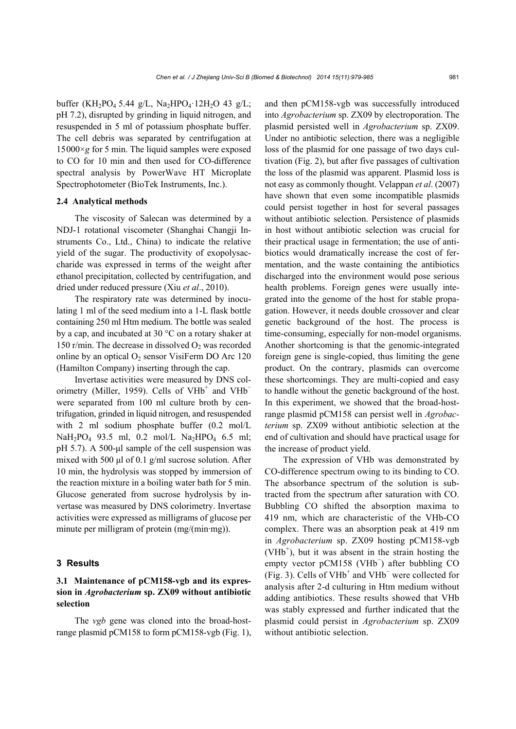buffer (KH<sub>2</sub>PO<sub>4</sub> 5.44 g/L, Na<sub>2</sub>HPO<sub>4</sub> 12H<sub>2</sub>O 43 g/L; pH 7.2), disrupted by grinding in liquid nitrogen, and resuspended in 5 ml of potassium phosphate buffer. The cell debris was separated by centrifugation at 15000×*g* for 5 min. The liquid samples were exposed to CO for 10 min and then used for CO-difference spectral analysis by PowerWave HT Microplate Spectrophotometer (BioTek Instruments, Inc.).

### **2.4 Analytical methods**

The viscosity of Salecan was determined by a NDJ-1 rotational viscometer (Shanghai Changji Instruments Co., Ltd., China) to indicate the relative yield of the sugar. The productivity of exopolysaccharide was expressed in terms of the weight after ethanol precipitation, collected by centrifugation, and dried under reduced pressure (Xiu *et al*., 2010).

The respiratory rate was determined by inoculating 1 ml of the seed medium into a 1-L flask bottle containing 250 ml Htm medium. The bottle was sealed by a cap, and incubated at 30 °C on a rotary shaker at 150 r/min. The decrease in dissolved  $O<sub>2</sub>$  was recorded online by an optical  $O_2$  sensor VisiFerm DO Arc 120 (Hamilton Company) inserting through the cap.

Invertase activities were measured by DNS colorimetry (Miller, 1959). Cells of VHb<sup>+</sup> and VHb<sup>-</sup> were separated from 100 ml culture broth by centrifugation, grinded in liquid nitrogen, and resuspended with 2 ml sodium phosphate buffer  $(0.2 \text{ mol/L})$  $NaH_2PO_4$  93.5 ml, 0.2 mol/L  $Na_2HPO_4$  6.5 ml; pH 5.7). A 500-μl sample of the cell suspension was mixed with 500 μl of 0.1 g/ml sucrose solution. After 10 min, the hydrolysis was stopped by immersion of the reaction mixture in a boiling water bath for 5 min. Glucose generated from sucrose hydrolysis by invertase was measured by DNS colorimetry. Invertase activities were expressed as milligrams of glucose per minute per milligram of protein (mg/(min·mg)).

## **3 Results**

# **3.1 Maintenance of pCM158-vgb and its expression in** *Agrobacterium* **sp. ZX09 without antibiotic selection**

The *vgb* gene was cloned into the broad-hostrange plasmid pCM158 to form pCM158-vgb (Fig. 1), and then pCM158-vgb was successfully introduced into *Agrobacterium* sp. ZX09 by electroporation. The plasmid persisted well in *Agrobacterium* sp. ZX09. Under no antibiotic selection, there was a negligible loss of the plasmid for one passage of two days cultivation (Fig. 2), but after five passages of cultivation the loss of the plasmid was apparent. Plasmid loss is not easy as commonly thought. Velappan *et al*. (2007) have shown that even some incompatible plasmids could persist together in host for several passages without antibiotic selection. Persistence of plasmids in host without antibiotic selection was crucial for their practical usage in fermentation; the use of antibiotics would dramatically increase the cost of fermentation, and the waste containing the antibiotics discharged into the environment would pose serious health problems. Foreign genes were usually integrated into the genome of the host for stable propagation. However, it needs double crossover and clear genetic background of the host. The process is time-consuming, especially for non-model organisms. Another shortcoming is that the genomic-integrated foreign gene is single-copied, thus limiting the gene product. On the contrary, plasmids can overcome these shortcomings. They are multi-copied and easy to handle without the genetic background of the host. In this experiment, we showed that the broad-hostrange plasmid pCM158 can persist well in *Agrobacterium* sp. ZX09 without antibiotic selection at the end of cultivation and should have practical usage for the increase of product yield.

The expression of VHb was demonstrated by CO-difference spectrum owing to its binding to CO. The absorbance spectrum of the solution is subtracted from the spectrum after saturation with CO. Bubbling CO shifted the absorption maxima to 419 nm, which are characteristic of the VHb-CO complex. There was an absorption peak at 419 nm in *Agrobacterium* sp. ZX09 hosting pCM158-vgb  $(VHb<sup>+</sup>)$ , but it was absent in the strain hosting the empty vector pCM158 (VHb<sup>−</sup> ) after bubbling CO (Fig. 3). Cells of VHb<sup>+</sup> and VHb<sup>-</sup> were collected for analysis after 2-d culturing in Htm medium without adding antibiotics. These results showed that VHb was stably expressed and further indicated that the plasmid could persist in *Agrobacterium* sp. ZX09 without antibiotic selection.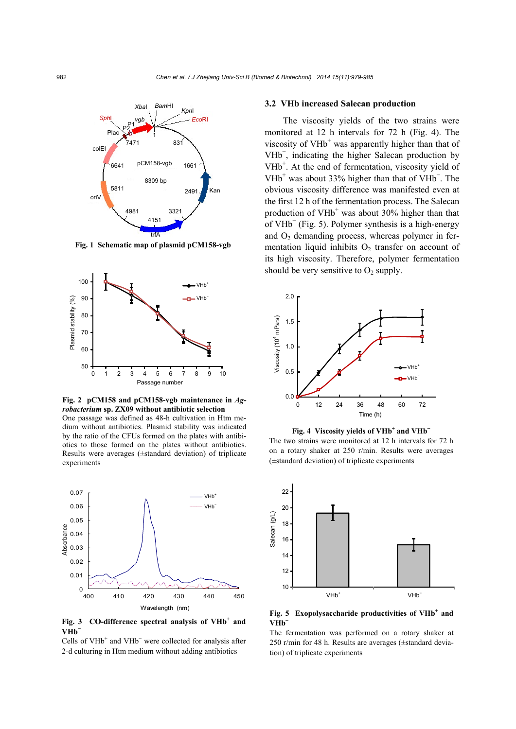

**Fig. 1 Schematic map of plasmid pCM158-vgb**



**Fig. 2 pCM158 and pCM158-vgb maintenance in** *Agrobacterium* **sp. ZX09 without antibiotic selection**  One passage was defined as 48-h cultivation in Htm medium without antibiotics. Plasmid stability was indicated by the ratio of the CFUs formed on the plates with antibiotics to those formed on the plates without antibiotics. Results were averages (±standard deviation) of triplicate experiments



Fig. 3 CO-difference spectral analysis of VHb<sup>+</sup> and **VHb<sup>−</sup>**

Cells of VH $b<sup>+</sup>$  and VH $b<sup>-</sup>$  were collected for analysis after 2-d culturing in Htm medium without adding antibiotics

### **3.2 VHb increased Salecan production**

The viscosity yields of the two strains were monitored at 12 h intervals for 72 h (Fig. 4). The viscosity of VHb<sup>+</sup> was apparently higher than that of VHb<sup>−</sup> , indicating the higher Salecan production by VHb<sup>+</sup>. At the end of fermentation, viscosity yield of VHb<sup>+</sup> was about 33% higher than that of VHb<sup>-</sup>. The obvious viscosity difference was manifested even at the first 12 h of the fermentation process. The Salecan production of  $VHb^+$  was about 30% higher than that of VHb<sup>−</sup> (Fig. 5). Polymer synthesis is a high-energy and O<sub>2</sub> demanding process, whereas polymer in fermentation liquid inhibits  $O_2$  transfer on account of its high viscosity. Therefore, polymer fermentation should be very sensitive to  $O_2$  supply.



**Fig. 4** Viscosity yields of VHb<sup>+</sup> and VHb<sup>−</sup>

The two strains were monitored at 12 h intervals for 72 h on a rotary shaker at 250 r/min. Results were averages (±standard deviation) of triplicate experiments



Fig. 5 Exopolysaccharide productivities of VHb<sup>+</sup> and **VHb<sup>−</sup>**

The fermentation was performed on a rotary shaker at 250 r/min for 48 h. Results are averages (±standard deviation) of triplicate experiments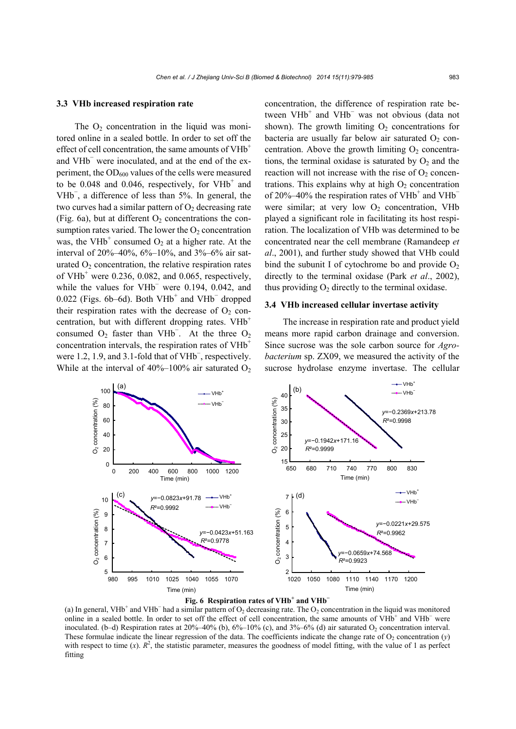#### **3.3 VHb increased respiration rate**

The  $O<sub>2</sub>$  concentration in the liquid was monitored online in a sealed bottle. In order to set off the effect of cell concentration, the same amounts of VHb<sup>+</sup> and VHb<sup>−</sup> were inoculated, and at the end of the experiment, the  $OD_{600}$  values of the cells were measured to be  $0.048$  and  $0.046$ , respectively, for VHb<sup>+</sup> and VHb<sup>−</sup> , a difference of less than 5%. In general, the two curves had a similar pattern of  $O_2$  decreasing rate (Fig. 6a), but at different  $O_2$  concentrations the consumption rates varied. The lower the  $O_2$  concentration was, the VHb<sup>+</sup> consumed  $O_2$  at a higher rate. At the interval of 20%–40%, 6%–10%, and 3%–6% air saturated  $O_2$  concentration, the relative respiration rates of VH $b^+$  were 0.236, 0.082, and 0.065, respectively, while the values for VHb<sup>-</sup> were 0.194, 0.042, and  $0.022$  (Figs. 6b–6d). Both VHb<sup>+</sup> and VHb<sup>-</sup> dropped their respiration rates with the decrease of  $O<sub>2</sub>$  concentration, but with different dropping rates.  $VHb^+$ consumed  $O_2$  faster than VHb<sup>-</sup>. At the three  $O_2$ concentration intervals, the respiration rates of VHb<sup>+</sup> were 1.2, 1.9, and 3.1-fold that of VHb<sup>-</sup>, respectively. While at the interval of  $40\%$ –100% air saturated O<sub>2</sub>

concentration, the difference of respiration rate between  $V H b^+$  and  $V H b^-$  was not obvious (data not shown). The growth limiting  $O_2$  concentrations for bacteria are usually far below air saturated  $O<sub>2</sub>$  concentration. Above the growth limiting  $O_2$  concentrations, the terminal oxidase is saturated by  $O_2$  and the reaction will not increase with the rise of  $O<sub>2</sub>$  concentrations. This explains why at high  $O<sub>2</sub>$  concentration of  $20\% - 40\%$  the respiration rates of VHb<sup>+</sup> and VHb<sup>-</sup> were similar; at very low  $O_2$  concentration, VHb played a significant role in facilitating its host respiration. The localization of VHb was determined to be concentrated near the cell membrane (Ramandeep *et al*., 2001), and further study showed that VHb could bind the subunit I of cytochrome bo and provide  $O_2$ directly to the terminal oxidase (Park *et al*., 2002), thus providing  $O_2$  directly to the terminal oxidase.

### **3.4 VHb increased cellular invertase activity**

The increase in respiration rate and product yield means more rapid carbon drainage and conversion. Since sucrose was the sole carbon source for *Agrobacterium* sp. ZX09, we measured the activity of the sucrose hydrolase enzyme invertase. The cellular





(a) In general, VHb<sup>+</sup> and VHb<sup>-</sup> had a similar pattern of  $O_2$  decreasing rate. The  $O_2$  concentration in the liquid was monitored online in a sealed bottle. In order to set off the effect of cell concentration, the same amounts of VHb<sup>+</sup> and VHb<sup>-</sup> were inoculated. (b–d) Respiration rates at  $20\%$ –40% (b),  $6\%$ –10% (c), and  $3\%$ –6% (d) air saturated O<sub>2</sub> concentration interval. These formulae indicate the linear regression of the data. The coefficients indicate the change rate of  $O_2$  concentration ( $\nu$ ) with respect to time  $(x)$ .  $R^2$ , the statistic parameter, measures the goodness of model fitting, with the value of 1 as perfect fitting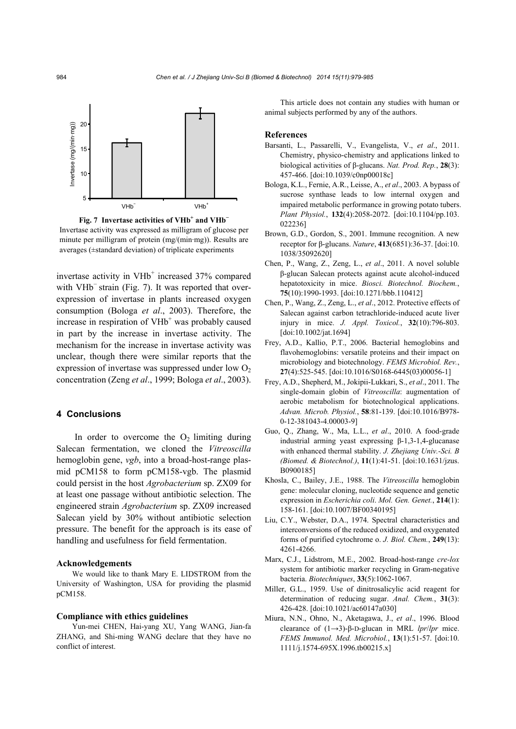

**Fig. 7 Invertase activities of VHb+ and VHb<sup>−</sup>** Invertase activity was expressed as milligram of glucose per minute per milligram of protein (mg/(min·mg)). Results are averages (±standard deviation) of triplicate experiments

invertase activity in VHb<sup>+</sup> increased 37% compared with VHb<sup>−</sup> strain (Fig. 7). It was reported that overexpression of invertase in plants increased oxygen consumption (Bologa *et al*., 2003). Therefore, the increase in respiration of VHb<sup>+</sup> was probably caused in part by the increase in invertase activity. The mechanism for the increase in invertase activity was unclear, though there were similar reports that the expression of invertase was suppressed under low  $O<sub>2</sub>$ concentration (Zeng *et al*., 1999; Bologa *et al*., 2003).

## **4 Conclusions**

In order to overcome the  $O_2$  limiting during Salecan fermentation, we cloned the *Vitreoscilla* hemoglobin gene, *vgb*, into a broad-host-range plasmid pCM158 to form pCM158-vgb. The plasmid could persist in the host *Agrobacterium* sp. ZX09 for at least one passage without antibiotic selection. The engineered strain *Agrobacterium* sp. ZX09 increased Salecan yield by 30% without antibiotic selection pressure. The benefit for the approach is its ease of handling and usefulness for field fermentation.

#### **Acknowledgements**

We would like to thank Mary E. LIDSTROM from the University of Washington, USA for providing the plasmid pCM158.

#### **Compliance with ethics guidelines**

Yun-mei CHEN, Hai-yang XU, Yang WANG, Jian-fa ZHANG, and Shi-ming WANG declare that they have no conflict of interest.

This article does not contain any studies with human or animal subjects performed by any of the authors.

#### **References**

- Barsanti, L., Passarelli, V., Evangelista, V., *et al*., 2011. Chemistry, physico-chemistry and applications linked to biological activities of β-glucans. *Nat. Prod. Rep.*, **28**(3): 457-466. [doi:10.1039/c0np00018c]
- Bologa, K.L., Fernie, A.R., Leisse, A., *et al*., 2003. A bypass of sucrose synthase leads to low internal oxygen and impaired metabolic performance in growing potato tubers. *Plant Physiol.*, **132**(4):2058-2072. [doi:10.1104/pp.103. 022236]
- Brown, G.D., Gordon, S., 2001. Immune recognition. A new receptor for β-glucans. *Nature*, **413**(6851):36-37. [doi:10. 1038/35092620]
- Chen, P., Wang, Z., Zeng, L., *et al*., 2011. A novel soluble β-glucan Salecan protects against acute alcohol-induced hepatotoxicity in mice. *Biosci. Biotechnol. Biochem.*, **75**(10):1990-1993. [doi:10.1271/bbb.110412]
- Chen, P., Wang, Z., Zeng, L., *et al*., 2012. Protective effects of Salecan against carbon tetrachloride-induced acute liver injury in mice. *J. Appl. Toxicol.*, **32**(10):796-803. [doi:10.1002/jat.1694]
- Frey, A.D., Kallio, P.T., 2006. Bacterial hemoglobins and flavohemoglobins: versatile proteins and their impact on microbiology and biotechnology. *FEMS Microbiol. Rev.*, **27**(4):525-545. [doi:10.1016/S0168-6445(03)00056-1]
- Frey, A.D., Shepherd, M., Jokipii-Lukkari, S., *et al*., 2011. The single-domain globin of *Vitreoscilla*: augmentation of aerobic metabolism for biotechnological applications. *Advan. Microb. Physiol.*, **58**:81-139. [doi:10.1016/B978- 0-12-381043-4.00003-9]
- Guo, Q., Zhang, W., Ma, L.L., *et al*., 2010. A food-grade industrial arming yeast expressing β-1,3-1,4-glucanase with enhanced thermal stability. *J. Zhejiang Univ.-Sci. B (Biomed. & Biotechnol.)*, **11**(1):41-51. [doi:10.1631/jzus. B0900185]
- Khosla, C., Bailey, J.E., 1988. The *Vitreoscilla* hemoglobin gene: molecular cloning, nucleotide sequence and genetic expression in *Escherichia coli*. *Mol. Gen. Genet.*, **214**(1): 158-161. [doi:10.1007/BF00340195]
- Liu, C.Y., Webster, D.A., 1974. Spectral characteristics and interconversions of the reduced oxidized, and oxygenated forms of purified cytochrome o. *J. Biol. Chem.*, **249**(13): 4261-4266.
- Marx, C.J., Lidstrom, M.E., 2002. Broad-host-range *cre-lox* system for antibiotic marker recycling in Gram-negative bacteria. *Biotechniques*, **33**(5):1062-1067.
- Miller, G.L., 1959. Use of dinitrosalicylic acid reagent for determination of reducing sugar. *Anal. Chem.*, **31**(3): 426-428. [doi:10.1021/ac60147a030]
- Miura, N.N., Ohno, N., Aketagawa, J., *et al*., 1996. Blood clearance of (1→3)-β-D-glucan in MRL *lpr*/*lpr* mice. *FEMS Immunol. Med. Microbiol.*, **13**(1):51-57. [doi:10. 1111/j.1574-695X.1996.tb00215.x]